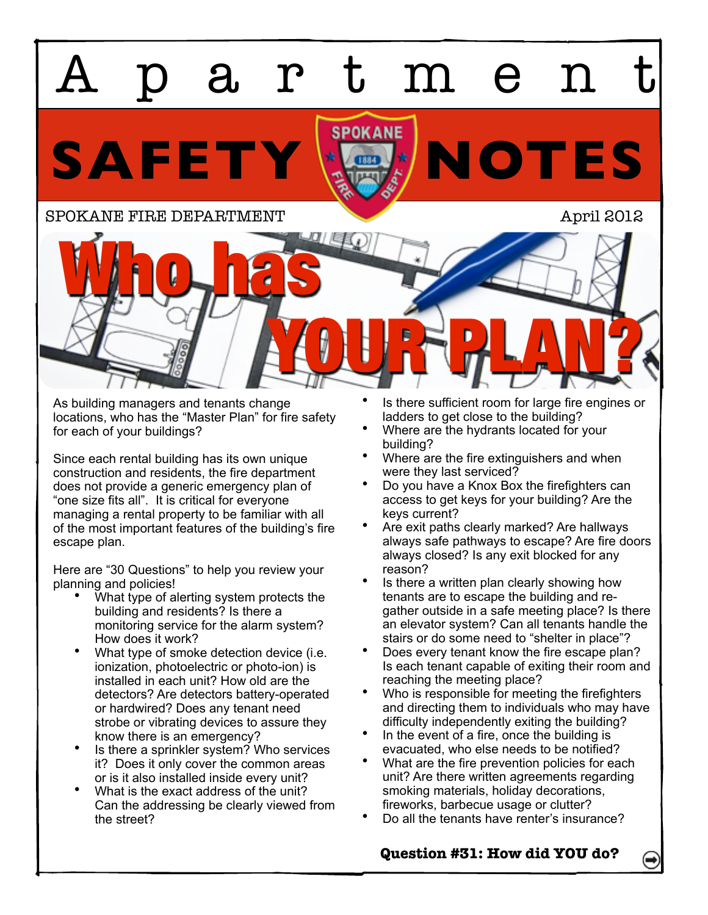

As building managers and tenants change locations, who has the "Master Plan" for fire safety for each of your buildings?

Since each rental building has its own unique construction and residents, the fire department does not provide a generic emergency plan of "one size fits all". It is critical for everyone managing a rental property to be familiar with all of the most important features of the building's fire escape plan.

Here are "30 Questions" to help you review your planning and policies!

- What type of alerting system protects the building and residents? Is there a monitoring service for the alarm system? How does it work?
- What type of smoke detection device (i.e. ionization, photoelectric or photo-ion) is installed in each unit? How old are the detectors? Are detectors battery-operated or hardwired? Does any tenant need strobe or vibrating devices to assure they know there is an emergency?
- Is there a sprinkler system? Who services it? Does it only cover the common areas or is it also installed inside every unit?
- What is the exact address of the unit? Can the addressing be clearly viewed from the street?
- Is there sufficient room for large fire engines or ladders to get close to the building?
- Where are the hydrants located for your building?
- Where are the fire extinguishers and when were they last serviced?
- Do you have a Knox Box the firefighters can access to get keys for your building? Are the keys current?
- Are exit paths clearly marked? Are hallways always safe pathways to escape? Are fire doors always closed? Is any exit blocked for any reason?
- Is there a written plan clearly showing how tenants are to escape the building and regather outside in a safe meeting place? Is there an elevator system? Can all tenants handle the stairs or do some need to "shelter in place"?
- Does every tenant know the fire escape plan? Is each tenant capable of exiting their room and reaching the meeting place?
- Who is responsible for meeting the firefighters and directing them to individuals who may have difficulty independently exiting the building?
- In the event of a fire, once the building is evacuated, who else needs to be notified?
- What are the fire prevention policies for each unit? Are there written agreements regarding smoking materials, holiday decorations, fireworks, barbecue usage or clutter?
- Do all the tenants have renter's insurance?

**Question #31: How did YOU do?**